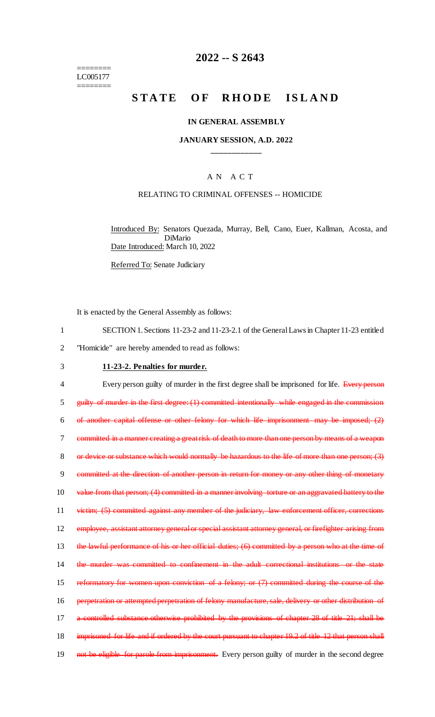======== LC005177 ========

## **2022 -- S 2643**

# **STATE OF RHODE ISLAND**

#### **IN GENERAL ASSEMBLY**

#### **JANUARY SESSION, A.D. 2022 \_\_\_\_\_\_\_\_\_\_\_\_**

### A N A C T

#### RELATING TO CRIMINAL OFFENSES -- HOMICIDE

Introduced By: Senators Quezada, Murray, Bell, Cano, Euer, Kallman, Acosta, and DiMario Date Introduced: March 10, 2022

Referred To: Senate Judiciary

It is enacted by the General Assembly as follows:

1 SECTION 1. Sections 11-23-2 and 11-23-2.1 of the General Laws in Chapter 11-23 entitled

2 "Homicide" are hereby amended to read as follows:

## 3 **11-23-2. Penalties for murder.**

4 Every person guilty of murder in the first degree shall be imprisoned for life. Every person 5 guilty of murder in the first degree: (1) committed intentionally while engaged in the commission 6 of another capital offense or other felony for which life imprisonment may be imposed; (2) 7 committed in a manner creating a great risk of death to more than one person by means of a weapon 8 or device or substance which would normally be hazardous to the life of more than one person; (3) 9 committed at the direction of another person in return for money or any other thing of monetary 10 value from that person; (4) committed in a manner involving torture or an aggravated battery to the 11 victim; (5) committed against any member of the judiciary, law enforcement officer, corrections 12 employee, assistant attorney general or special assistant attorney general, or firefighter arising from 13 the lawful performance of his or her official duties; (6) committed by a person who at the time of 14 the murder was committed to confinement in the adult correctional institutions or the state 15 reformatory for women upon conviction of a felony; or (7) committed during the course of the 16 perpetration or attempted perpetration of felony manufacture, sale, delivery or other distribution of 17 a controlled substance otherwise prohibited by the provisions of chapter 28 of title 21; shall be 18 imprisoned for life and if ordered by the court pursuant to chapter 19.2 of title 12 that person shall 19 not be eligible for parole from imprisonment. Every person guilty of murder in the second degree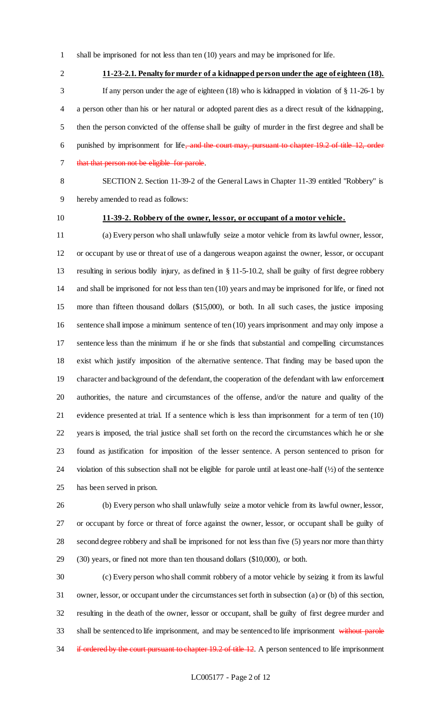shall be imprisoned for not less than ten (10) years and may be imprisoned for life.

**11-23-2.1. Penalty for murder of a kidnapped person under the age of eighteen (18).**

 If any person under the age of eighteen (18) who is kidnapped in violation of § 11-26-1 by a person other than his or her natural or adopted parent dies as a direct result of the kidnapping, then the person convicted of the offense shall be guilty of murder in the first degree and shall be 6 punished by imprisonment for life<del>, and the court may, pursuant to chapter 19.2 of title 12, order</del> 7 that that person not be eligible for parole.

 SECTION 2. Section 11-39-2 of the General Laws in Chapter 11-39 entitled "Robbery" is hereby amended to read as follows:

## **11-39-2. Robbery of the owner, lessor, or occupant of a motor vehicle.**

 (a) Every person who shall unlawfully seize a motor vehicle from its lawful owner, lessor, or occupant by use or threat of use of a dangerous weapon against the owner, lessor, or occupant resulting in serious bodily injury, as defined in § 11-5-10.2, shall be guilty of first degree robbery and shall be imprisoned for not less than ten (10) years and may be imprisoned for life, or fined not more than fifteen thousand dollars (\$15,000), or both. In all such cases, the justice imposing sentence shall impose a minimum sentence of ten (10) years imprisonment and may only impose a sentence less than the minimum if he or she finds that substantial and compelling circumstances exist which justify imposition of the alternative sentence. That finding may be based upon the character and background of the defendant, the cooperation of the defendant with law enforcement authorities, the nature and circumstances of the offense, and/or the nature and quality of the evidence presented at trial. If a sentence which is less than imprisonment for a term of ten (10) years is imposed, the trial justice shall set forth on the record the circumstances which he or she found as justification for imposition of the lesser sentence. A person sentenced to prison for violation of this subsection shall not be eligible for parole until at least one-half (½) of the sentence has been served in prison.

 (b) Every person who shall unlawfully seize a motor vehicle from its lawful owner, lessor, or occupant by force or threat of force against the owner, lessor, or occupant shall be guilty of second degree robbery and shall be imprisoned for not less than five (5) years nor more than thirty (30) years, or fined not more than ten thousand dollars (\$10,000), or both.

 (c) Every person who shall commit robbery of a motor vehicle by seizing it from its lawful owner, lessor, or occupant under the circumstances set forth in subsection (a) or (b) of this section, resulting in the death of the owner, lessor or occupant, shall be guilty of first degree murder and 33 shall be sentenced to life imprisonment, and may be sentenced to life imprisonment without parole 34 if ordered by the court pursuant to chapter 19.2 of title 12. A person sentenced to life imprisonment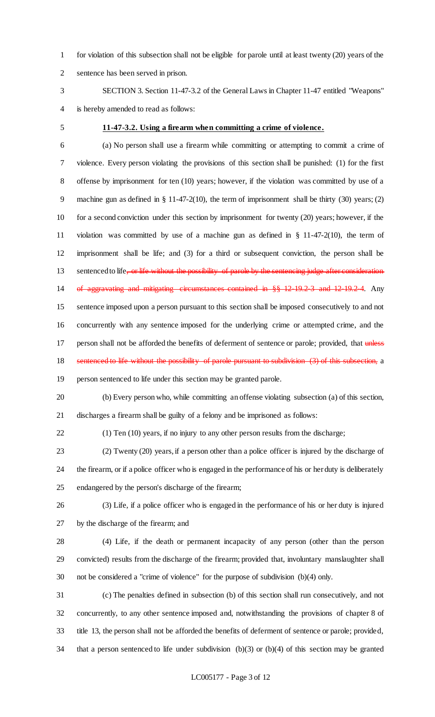for violation of this subsection shall not be eligible for parole until at least twenty (20) years of the sentence has been served in prison.

 SECTION 3. Section 11-47-3.2 of the General Laws in Chapter 11-47 entitled "Weapons" is hereby amended to read as follows:

#### **11-47-3.2. Using a firearm when committing a crime of violence.**

 (a) No person shall use a firearm while committing or attempting to commit a crime of violence. Every person violating the provisions of this section shall be punished: (1) for the first offense by imprisonment for ten (10) years; however, if the violation was committed by use of a machine gun as defined in § 11-47-2(10), the term of imprisonment shall be thirty (30) years; (2) for a second conviction under this section by imprisonment for twenty (20) years; however, if the violation was committed by use of a machine gun as defined in § 11-47-2(10), the term of imprisonment shall be life; and (3) for a third or subsequent conviction, the person shall be 13 sentenced to life, or life without the possibility of parole by the sentencing judge after consideration of aggravating and mitigating circumstances contained in §§ 12-19.2-3 and 12-19.2-4. Any sentence imposed upon a person pursuant to this section shall be imposed consecutively to and not concurrently with any sentence imposed for the underlying crime or attempted crime, and the 17 person shall not be afforded the benefits of deferment of sentence or parole; provided, that unless 18 sentenced to life without the possibility of parole pursuant to subdivision (3) of this subsection, a

person sentenced to life under this section may be granted parole.

 (b) Every person who, while committing an offense violating subsection (a) of this section, discharges a firearm shall be guilty of a felony and be imprisoned as follows:

(1) Ten (10) years, if no injury to any other person results from the discharge;

 (2) Twenty (20) years, if a person other than a police officer is injured by the discharge of the firearm, or if a police officer who is engaged in the performance of his or her duty is deliberately endangered by the person's discharge of the firearm;

 (3) Life, if a police officer who is engaged in the performance of his or her duty is injured by the discharge of the firearm; and

 (4) Life, if the death or permanent incapacity of any person (other than the person convicted) results from the discharge of the firearm; provided that, involuntary manslaughter shall not be considered a "crime of violence" for the purpose of subdivision (b)(4) only.

 (c) The penalties defined in subsection (b) of this section shall run consecutively, and not concurrently, to any other sentence imposed and, notwithstanding the provisions of chapter 8 of title 13, the person shall not be afforded the benefits of deferment of sentence or parole; provided, that a person sentenced to life under subdivision (b)(3) or (b)(4) of this section may be granted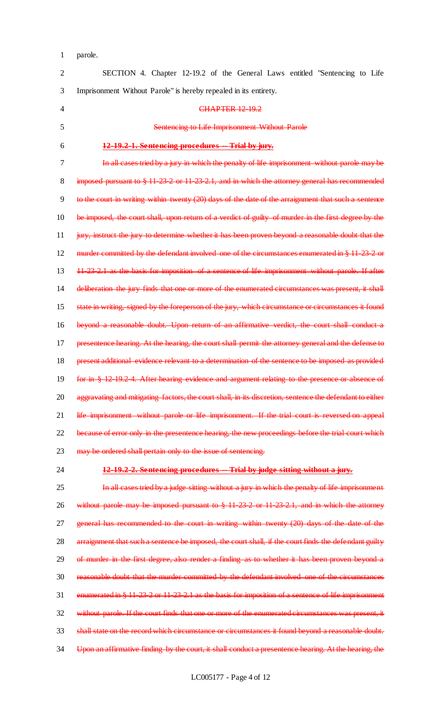parole.

| $\overline{2}$ | SECTION 4. Chapter 12-19.2 of the General Laws entitled "Sentencing to Life                              |
|----------------|----------------------------------------------------------------------------------------------------------|
| 3              | Imprisonment Without Parole" is hereby repealed in its entirety.                                         |
| 4              | <b>CHAPTER 12 19.2</b>                                                                                   |
| 5              | Sentencing to Life Imprisonment Without Parole                                                           |
| 6              | 12-19.2-1. Sentencing procedures -- Trial by jury.                                                       |
| 7              | In all cases tried by a jury in which the penalty of life imprisonment without parole may be             |
| 8              | imposed pursuant to $\S 11 23 2$ or $11 23 2.1$ , and in which the attorney general has recommended      |
| 9              | to the court in writing within twenty (20) days of the date of the arraignment that such a sentence      |
| 10             | be imposed, the court shall, upon return of a verdict of guilty of murder in the first degree by the     |
| 11             | jury, instruct the jury to determine whether it has been proven beyond a reasonable doubt that the       |
| 12             | murder committed by the defendant involved one of the circumstances enumerated in § 11-23-2-or           |
| 13             | 11-23-2.1 as the basis for imposition of a sentence of life imprisonment without parole. If after        |
| 14             | deliberation the jury finds that one or more of the enumerated circumstances was present, it shall       |
| 15             | state in writing, signed by the foreperson of the jury, which circumstance or circumstances it found     |
| 16             | beyond a reasonable doubt. Upon return of an affirmative verdict, the court shall conduct a              |
| 17             | presentence hearing. At the hearing, the court shall permit the attorney general and the defense to      |
| 18             | present additional evidence relevant to a determination of the sentence to be imposed as provided        |
| 19             | for in § 12-19.2-4. After hearing evidence and argument relating to the presence or absence of           |
| 20             | aggravating and mitigating factors, the court shall, in its discretion, sentence the defendant to either |
| 21             | life imprisonment without parole or life imprisonment. If the trial court is reversed on appeal          |
| 22             | because of error only in the presentence hearing, the new proceedings before the trial court which       |
| 23             | may be ordered shall pertain only to the issue of sentencing.                                            |
| 24             | 12-19.2-2. Sentencing procedures -- Trial by judge sitting without a jury.                               |
| 25             | In all cases tried by a judge sitting without a jury in which the penalty of life imprisonment           |

 without parole may be imposed pursuant to § 11-23-2 or 11-23-2.1, and in which the attorney general has recommended to the court in writing within twenty (20) days of the date of the 28 arraignment that such a sentence be imposed, the court shall, if the court finds the defendant guilty of murder in the first degree, also render a finding as to whether it has been proven beyond a reasonable doubt that the murder committed by the defendant involved one of the circumstances enumerated in § 11-23-2 or 11-23-2.1 as the basis for imposition of a sentence of life imprisonment 32 without parole. If the court finds that one or more of the enumerated circumstances was present, it 33 shall state on the record which circumstance or circumstances it found beyond a reasonable doubt. Upon an affirmative finding by the court, it shall conduct a presentence hearing. At the hearing, the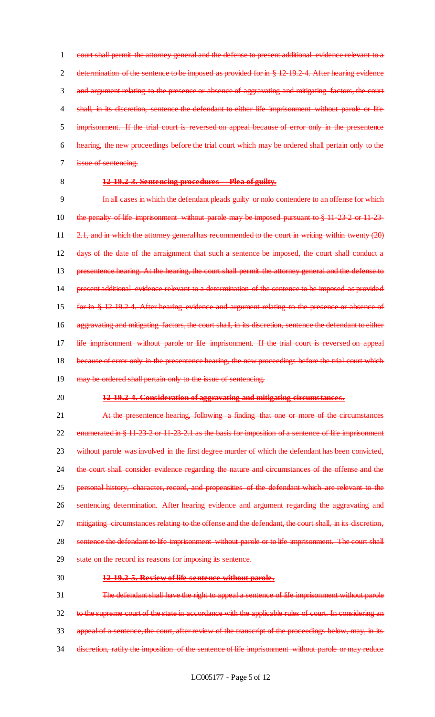court shall permit the attorney general and the defense to present additional evidence relevant to a 2 determination of the sentence to be imposed as provided for in § 12-19.2-4. After hearing evidence and argument relating to the presence or absence of aggravating and mitigating factors, the court 4 shall, in its discretion, sentence the defendant to either life imprisonment without parole or life imprisonment. If the trial court is reversed on appeal because of error only in the presentence hearing, the new proceedings before the trial court which may be ordered shall pertain only to the issue of sentencing.

#### 8 **12-19.2-3. Sentencing procedures -- Plea of guilty.**

9 In all cases in which the defendant pleads guilty or nolo contendere to an offense for which 10 the penalty of life imprisonment without parole may be imposed pursuant to § 11-23-2 or 11-23-11 2.1, and in which the attorney general has recommended to the court in writing within twenty (20) 12 days of the date of the arraignment that such a sentence be imposed, the court shall conduct a 13 presentence hearing. At the hearing, the court shall permit the attorney general and the defense to 14 present additional evidence relevant to a determination of the sentence to be imposed as provided 15 for in § 12-19.2-4. After hearing evidence and argument relating to the presence or absence of 16 aggravating and mitigating factors, the court shall, in its discretion, sentence the defendant to either 17 life imprisonment without parole or life imprisonment. If the trial court is reversed on appeal 18 because of error only in the presentence hearing, the new proceedings before the trial court which 19 may be ordered shall pertain only to the issue of sentencing.

#### 20 **12-19.2-4. Consideration of aggravating and mitigating circumstances.**

21 At the presentence hearing, following a finding that one or more of the circumstances 22 enumerated in § 11-23-2 or 11-23-2.1 as the basis for imposition of a sentence of life imprisonment 23 without parole was involved in the first degree murder of which the defendant has been convicted, 24 the court shall consider evidence regarding the nature and circumstances of the offense and the 25 personal history, character, record, and propensities of the defendant which are relevant to the 26 sentencing determination. After hearing evidence and argument regarding the aggravating and 27 mitigating circumstances relating to the offense and the defendant, the court shall, in its discretion, 28 sentence the defendant to life imprisonment without parole or to life imprisonment. The court shall 29 state on the record its reasons for imposing its sentence.

#### 30 **12-19.2-5. Review of life sentence without parole.**

31 The defendant shall have the right to appeal a sentence of life imprisonment without parole 32 to the supreme court of the state in accordance with the applicable rules of court. In considering an 33 appeal of a sentence, the court, after review of the transcript of the proceedings below, may, in its 34 discretion, ratify the imposition of the sentence of life imprisonment without parole or may reduce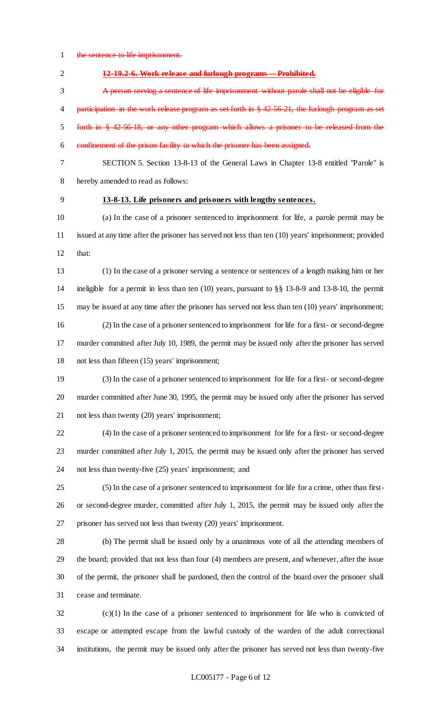1 the sentence to life imprisonment.

| $\overline{2}$ | 12-19.2-6. Work release and furlough programs -- Prohibited.                                           |
|----------------|--------------------------------------------------------------------------------------------------------|
| 3              | A person serving a sentence of life imprisonment without parole shall not be eligible for              |
| 4              | participation in the work release program as set forth in $\S$ 42-56-21, the furlough program as set   |
| 5              | forth in § 42.56.18, or any other program which allows a prisoner to be released from the              |
| 6              | confinement of the prison facility to which the prisoner has been assigned.                            |
| 7              | SECTION 5. Section 13-8-13 of the General Laws in Chapter 13-8 entitled "Parole" is                    |
| 8              | hereby amended to read as follows:                                                                     |
| 9              | 13-8-13. Life prisoners and prisoners with lengthy sentences.                                          |
| 10             | (a) In the case of a prisoner sentenced to imprisonment for life, a parole permit may be               |
| 11             | issued at any time after the prisoner has served not less than ten (10) years' imprisonment; provided  |
| 12             | that:                                                                                                  |
| 13             | (1) In the case of a prisoner serving a sentence or sentences of a length making him or her            |
| 14             | ineligible for a permit in less than ten (10) years, pursuant to $\S$ 3 13-8-9 and 13-8-10, the permit |
| 15             | may be issued at any time after the prisoner has served not less than ten (10) years' imprisonment;    |
| 16             | (2) In the case of a prisoner sentenced to imprisonment for life for a first- or second-degree         |
| 17             | murder committed after July 10, 1989, the permit may be issued only after the prisoner has served      |
| 18             | not less than fifteen (15) years' imprisonment;                                                        |
| 19             | (3) In the case of a prisoner sentenced to imprisonment for life for a first- or second-degree         |
| 20             | murder committed after June 30, 1995, the permit may be issued only after the prisoner has served      |
| 21             | not less than twenty (20) years' imprisonment;                                                         |
| 22             | (4) In the case of a prisoner sentenced to imprisonment for life for a first- or second-degree         |
| 23             | murder committed after July 1, 2015, the permit may be issued only after the prisoner has served       |
| 24             | not less than twenty-five (25) years' imprisonment; and                                                |
| 25             | (5) In the case of a prisoner sentenced to imprisonment for life for a crime, other than first-        |
| 26             | or second-degree murder, committed after July 1, 2015, the permit may be issued only after the         |
| 27             | prisoner has served not less than twenty (20) years' imprisonment.                                     |
| 28             | (b) The permit shall be issued only by a unanimous vote of all the attending members of                |
| 29             | the board; provided that not less than four (4) members are present, and whenever, after the issue     |
| 30             | of the permit, the prisoner shall be pardoned, then the control of the board over the prisoner shall   |
| 31             | cease and terminate.                                                                                   |
| 32             | $(c)(1)$ In the case of a prisoner sentenced to imprisonment for life who is convicted of              |
| 33             | escape or attempted escape from the lawful custody of the warden of the adult correctional             |
| 34             | institutions, the permit may be issued only after the prisoner has served not less than twenty-five    |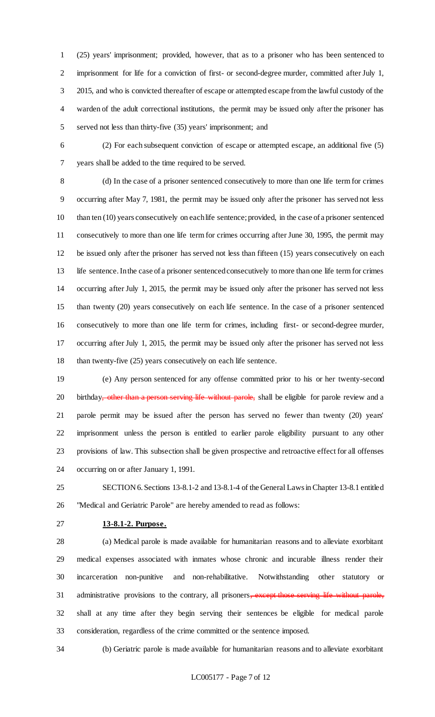(25) years' imprisonment; provided, however, that as to a prisoner who has been sentenced to imprisonment for life for a conviction of first- or second-degree murder, committed after July 1, 2015, and who is convicted thereafter of escape or attempted escape from the lawful custody of the warden of the adult correctional institutions, the permit may be issued only after the prisoner has served not less than thirty-five (35) years' imprisonment; and

 (2) For each subsequent conviction of escape or attempted escape, an additional five (5) years shall be added to the time required to be served.

 (d) In the case of a prisoner sentenced consecutively to more than one life term for crimes occurring after May 7, 1981, the permit may be issued only after the prisoner has served not less than ten (10) years consecutively on each life sentence; provided, in the case of a prisoner sentenced consecutively to more than one life term for crimes occurring after June 30, 1995, the permit may be issued only after the prisoner has served not less than fifteen (15) years consecutively on each life sentence. In the case of a prisoner sentenced consecutively to more than one life term for crimes occurring after July 1, 2015, the permit may be issued only after the prisoner has served not less than twenty (20) years consecutively on each life sentence. In the case of a prisoner sentenced consecutively to more than one life term for crimes, including first- or second-degree murder, occurring after July 1, 2015, the permit may be issued only after the prisoner has served not less 18 than twenty-five (25) years consecutively on each life sentence.

 (e) Any person sentenced for any offense committed prior to his or her twenty-second 20 birthday<del>, other than a person serving life without parole,</del> shall be eligible for parole review and a parole permit may be issued after the person has served no fewer than twenty (20) years' imprisonment unless the person is entitled to earlier parole eligibility pursuant to any other provisions of law. This subsection shall be given prospective and retroactive effect for all offenses occurring on or after January 1, 1991.

 SECTION 6. Sections 13-8.1-2 and 13-8.1-4 of the General Laws in Chapter 13-8.1 entitled "Medical and Geriatric Parole" are hereby amended to read as follows:

**13-8.1-2. Purpose.**

 (a) Medical parole is made available for humanitarian reasons and to alleviate exorbitant medical expenses associated with inmates whose chronic and incurable illness render their incarceration non-punitive and non-rehabilitative. Notwithstanding other statutory or 31 administrative provisions to the contrary, all prisoners, except those serving life without parole, shall at any time after they begin serving their sentences be eligible for medical parole consideration, regardless of the crime committed or the sentence imposed.

(b) Geriatric parole is made available for humanitarian reasons and to alleviate exorbitant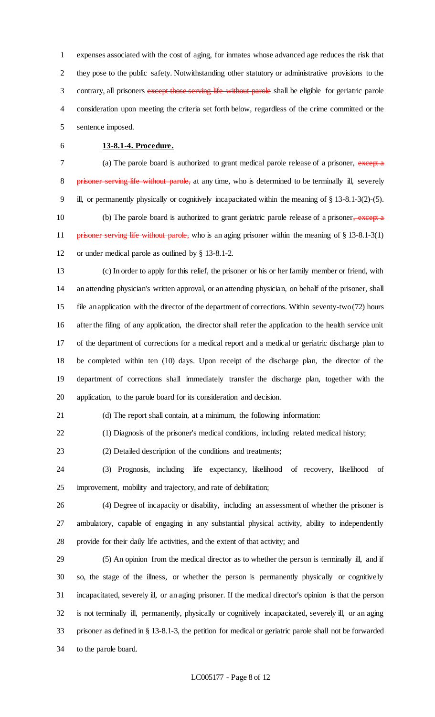expenses associated with the cost of aging, for inmates whose advanced age reduces the risk that they pose to the public safety. Notwithstanding other statutory or administrative provisions to the 3 contrary, all prisoners except those serving life without parole shall be eligible for geriatric parole consideration upon meeting the criteria set forth below, regardless of the crime committed or the sentence imposed.

## **13-8.1-4. Procedure.**

7 (a) The parole board is authorized to grant medical parole release of a prisoner, except a 8 prisoner serving life without parole, at any time, who is determined to be terminally ill, severely ill, or permanently physically or cognitively incapacitated within the meaning of § 13-8.1-3(2)-(5). 10 (b) The parole board is authorized to grant geriatric parole release of a prisoner, except a 11 prisoner serving life without parole, who is an aging prisoner within the meaning of § 13-8.1-3(1) or under medical parole as outlined by § 13-8.1-2.

 (c) In order to apply for this relief, the prisoner or his or her family member or friend, with an attending physician's written approval, or an attending physician, on behalf of the prisoner, shall file an application with the director of the department of corrections. Within seventy-two (72) hours after the filing of any application, the director shall refer the application to the health service unit of the department of corrections for a medical report and a medical or geriatric discharge plan to be completed within ten (10) days. Upon receipt of the discharge plan, the director of the department of corrections shall immediately transfer the discharge plan, together with the application, to the parole board for its consideration and decision.

(d) The report shall contain, at a minimum, the following information:

(1) Diagnosis of the prisoner's medical conditions, including related medical history;

(2) Detailed description of the conditions and treatments;

 (3) Prognosis, including life expectancy, likelihood of recovery, likelihood of improvement, mobility and trajectory, and rate of debilitation;

 (4) Degree of incapacity or disability, including an assessment of whether the prisoner is ambulatory, capable of engaging in any substantial physical activity, ability to independently provide for their daily life activities, and the extent of that activity; and

 (5) An opinion from the medical director as to whether the person is terminally ill, and if so, the stage of the illness, or whether the person is permanently physically or cognitively incapacitated, severely ill, or an aging prisoner. If the medical director's opinion is that the person is not terminally ill, permanently, physically or cognitively incapacitated, severely ill, or an aging prisoner as defined in § 13-8.1-3, the petition for medical or geriatric parole shall not be forwarded to the parole board.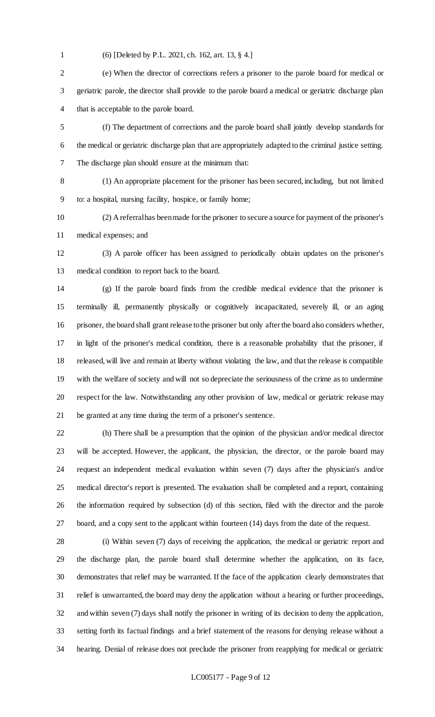- 
- (6) [Deleted by P.L. 2021, ch. 162, art. 13, § 4.]

 (e) When the director of corrections refers a prisoner to the parole board for medical or geriatric parole, the director shall provide to the parole board a medical or geriatric discharge plan that is acceptable to the parole board.

 (f) The department of corrections and the parole board shall jointly develop standards for the medical or geriatric discharge plan that are appropriately adapted to the criminal justice setting. The discharge plan should ensure at the minimum that:

(1) An appropriate placement for the prisoner has been secured, including, but not limited

to: a hospital, nursing facility, hospice, or family home;

 (2) A referral has been made for the prisoner to secure a source for payment of the prisoner's medical expenses; and

 (3) A parole officer has been assigned to periodically obtain updates on the prisoner's medical condition to report back to the board.

 (g) If the parole board finds from the credible medical evidence that the prisoner is terminally ill, permanently physically or cognitively incapacitated, severely ill, or an aging prisoner, the board shall grant release to the prisoner but only after the board also considers whether, in light of the prisoner's medical condition, there is a reasonable probability that the prisoner, if released, will live and remain at liberty without violating the law, and that the release is compatible with the welfare of society and will not so depreciate the seriousness of the crime as to undermine respect for the law. Notwithstanding any other provision of law, medical or geriatric release may be granted at any time during the term of a prisoner's sentence.

 (h) There shall be a presumption that the opinion of the physician and/or medical director will be accepted. However, the applicant, the physician, the director, or the parole board may request an independent medical evaluation within seven (7) days after the physician's and/or medical director's report is presented. The evaluation shall be completed and a report, containing the information required by subsection (d) of this section, filed with the director and the parole board, and a copy sent to the applicant within fourteen (14) days from the date of the request.

 (i) Within seven (7) days of receiving the application, the medical or geriatric report and the discharge plan, the parole board shall determine whether the application, on its face, demonstrates that relief may be warranted. If the face of the application clearly demonstrates that relief is unwarranted, the board may deny the application without a hearing or further proceedings, and within seven (7) days shall notify the prisoner in writing of its decision to deny the application, setting forth its factual findings and a brief statement of the reasons for denying release without a hearing. Denial of release does not preclude the prisoner from reapplying for medical or geriatric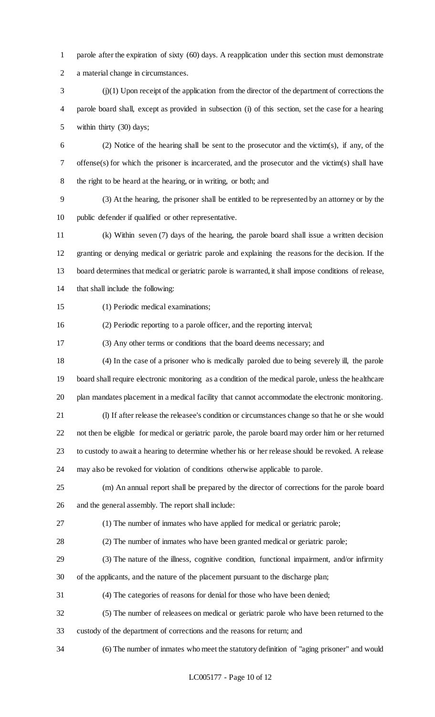parole after the expiration of sixty (60) days. A reapplication under this section must demonstrate a material change in circumstances.

 $j$  (i)(1) Upon receipt of the application from the director of the department of corrections the parole board shall, except as provided in subsection (i) of this section, set the case for a hearing within thirty (30) days;

 (2) Notice of the hearing shall be sent to the prosecutor and the victim(s), if any, of the offense(s) for which the prisoner is incarcerated, and the prosecutor and the victim(s) shall have the right to be heard at the hearing, or in writing, or both; and

 (3) At the hearing, the prisoner shall be entitled to be represented by an attorney or by the public defender if qualified or other representative.

 (k) Within seven (7) days of the hearing, the parole board shall issue a written decision granting or denying medical or geriatric parole and explaining the reasons for the decision. If the board determines that medical or geriatric parole is warranted, it shall impose conditions of release, that shall include the following:

(1) Periodic medical examinations;

(2) Periodic reporting to a parole officer, and the reporting interval;

(3) Any other terms or conditions that the board deems necessary; and

 (4) In the case of a prisoner who is medically paroled due to being severely ill, the parole board shall require electronic monitoring as a condition of the medical parole, unless the healthcare plan mandates placement in a medical facility that cannot accommodate the electronic monitoring.

(l) If after release the releasee's condition or circumstances change so that he or she would

not then be eligible for medical or geriatric parole, the parole board may order him or her returned

to custody to await a hearing to determine whether his or her release should be revoked. A release

may also be revoked for violation of conditions otherwise applicable to parole.

 (m) An annual report shall be prepared by the director of corrections for the parole board and the general assembly. The report shall include:

(1) The number of inmates who have applied for medical or geriatric parole;

(2) The number of inmates who have been granted medical or geriatric parole;

 (3) The nature of the illness, cognitive condition, functional impairment, and/or infirmity of the applicants, and the nature of the placement pursuant to the discharge plan;

(4) The categories of reasons for denial for those who have been denied;

 (5) The number of releasees on medical or geriatric parole who have been returned to the custody of the department of corrections and the reasons for return; and

(6) The number of inmates who meet the statutory definition of "aging prisoner" and would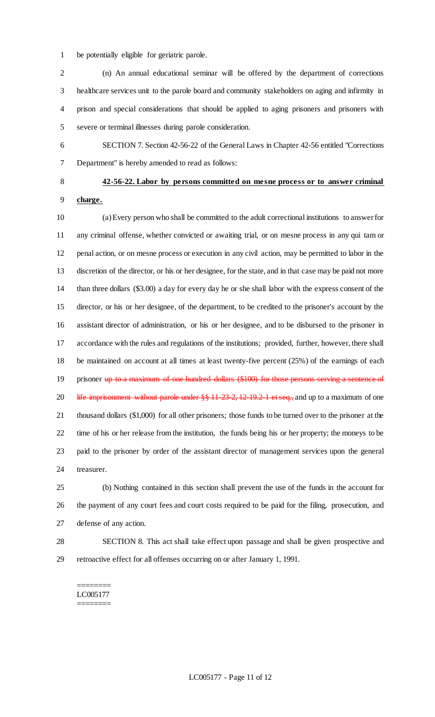be potentially eligible for geriatric parole.

 (n) An annual educational seminar will be offered by the department of corrections healthcare services unit to the parole board and community stakeholders on aging and infirmity in prison and special considerations that should be applied to aging prisoners and prisoners with severe or terminal illnesses during parole consideration.

 SECTION 7. Section 42-56-22 of the General Laws in Chapter 42-56 entitled "Corrections Department" is hereby amended to read as follows:

# **42-56-22. Labor by persons committed on mesne process or to answer criminal charge.**

 (a) Every person who shall be committed to the adult correctional institutions to answer for any criminal offense, whether convicted or awaiting trial, or on mesne process in any qui tam or penal action, or on mesne process or execution in any civil action, may be permitted to labor in the discretion of the director, or his or her designee, for the state, and in that case may be paid not more than three dollars (\$3.00) a day for every day he or she shall labor with the express consent of the director, or his or her designee, of the department, to be credited to the prisoner's account by the assistant director of administration, or his or her designee, and to be disbursed to the prisoner in accordance with the rules and regulations of the institutions; provided, further, however, there shall be maintained on account at all times at least twenty-five percent (25%) of the earnings of each 19 prisoner up to a maximum of one hundred dollars (\$100) for those persons serving a sentence of 20 life imprisonment without parole under §§ 11-23-2, 12-19.2-1 et seq., and up to a maximum of one thousand dollars (\$1,000) for all other prisoners; those funds to be turned over to the prisoner at the time of his or her release from the institution, the funds being his or her property; the moneys to be paid to the prisoner by order of the assistant director of management services upon the general treasurer.

 (b) Nothing contained in this section shall prevent the use of the funds in the account for the payment of any court fees and court costs required to be paid for the filing, prosecution, and defense of any action.

 SECTION 8. This act shall take effect upon passage and shall be given prospective and retroactive effect for all offenses occurring on or after January 1, 1991.

======== LC005177 ========